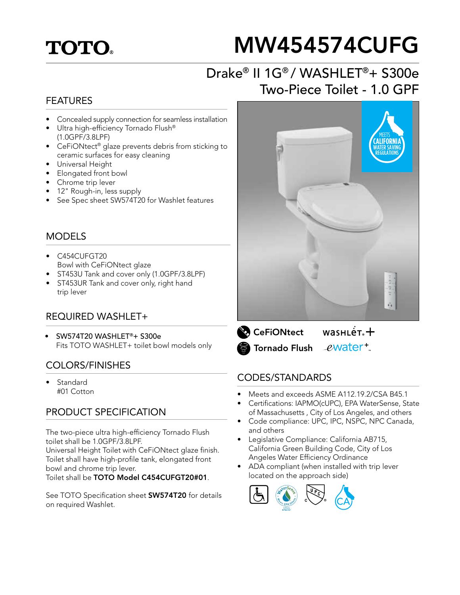## **TOTO**

# MW454574CUFG

## Drake® II 1G® / WASHLET®+ S300e Two-Piece Toilet - 1.0 GPF

#### FEATURES

- Concealed supply connection for seamless installation
- Ultra high-efficiency Tornado Flush® (1.0GPF/3.8LPF)
- CeFiONtect® glaze prevents debris from sticking to ceramic surfaces for easy cleaning
- Universal Height
- Elongated front bowl
- Chrome trip lever
- 12" Rough-in, less supply
- See Spec sheet SW574T20 for Washlet features

#### MODELS

- C454CUFGT20 Bowl with CeFiONtect glaze
- ST453U Tank and cover only (1.0GPF/3.8LPF)
- ST453UR Tank and cover only, right hand trip lever

#### REQUIRED WASHLET+

• SW574T20 WASHLET®+ S300e Fits TOTO WASHLET+ toilet bowl models only

#### COLORS/FINISHES

**Standard** #01 Cotton

#### PRODUCT SPECIFICATION

The two-piece ultra high-efficiency Tornado Flush toilet shall be 1.0GPF/3.8LPF.

Universal Height Toilet with CeFiONtect glaze finish. Toilet shall have high-profile tank, elongated front bowl and chrome trip lever.

Toilet shall be TOTO Model C454CUFGT20#01.

See TOTO Specification sheet **SW574T20** for details on required Washlet.



 $wasnLér +$ **CeFiONtect** ewater<sup>+</sup> **S** Tornado Flush

#### CODES/STANDARDS

- Meets and exceeds ASME A112.19.2/CSA B45.1
- Certifications: IAPMO(cUPC), EPA WaterSense, State of Massachusetts , City of Los Angeles, and others
- Code compliance: UPC, IPC, NSPC, NPC Canada, and others
- Legislative Compliance: California AB715, California Green Building Code, City of Los Angeles Water Efficiency Ordinance
- ADA compliant (when installed with trip lever located on the approach side)